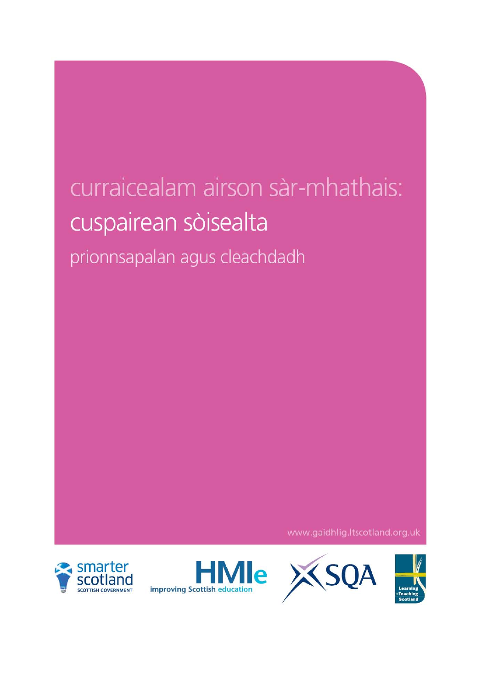# curraicealam airson sàr-mhathais: cuspairean sòisealta

prionnsapalan agus cleachdadh

www.gaidhlig.ltscotland.org.uk







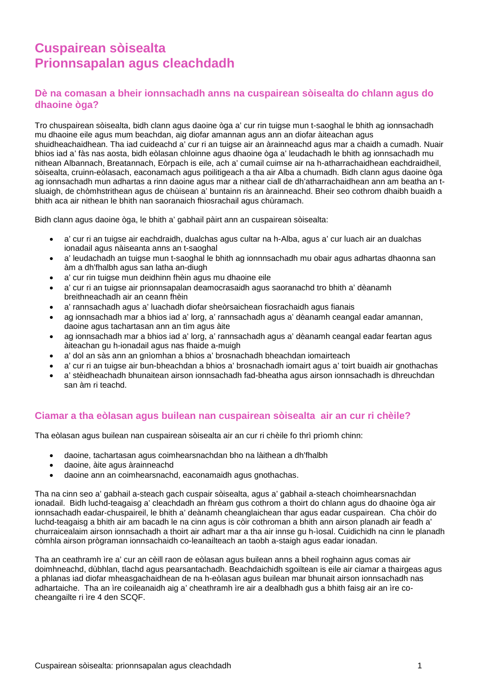# **Cuspairean sòisealta Prionnsapalan agus cleachdadh**

# **Dè na comasan a bheir ionnsachadh anns na cuspairean sòisealta do chlann agus do dhaoine òga?**

Tro chuspairean sòisealta, bidh clann agus daoine òga a' cur rin tuigse mun t-saoghal le bhith ag ionnsachadh mu dhaoine eile agus mum beachdan, aig diofar amannan agus ann an diofar àiteachan agus shuidheachaidhean. Tha iad cuideachd a' cur ri an tuigse air an àrainneachd agus mar a chaidh a cumadh. Nuair bhios iad a' fàs nas aosta, bidh eòlasan chloinne agus dhaoine òga a' leudachadh le bhith ag ionnsachadh mu nithean Albannach, Breatannach, Eòrpach is eile, ach a' cumail cuimse air na h-atharrachaidhean eachdraidheil, sòisealta, cruinn-eòlasach, eaconamach agus poilitigeach a tha air Alba a chumadh. Bidh clann agus daoine òga ag ionnsachadh mun adhartas a rinn daoine agus mar a nithear ciall de dh'atharrachaidhean ann am beatha an tsluaigh, de chòmhstrithean agus de chùisean a' buntainn ris an àrainneachd. Bheir seo cothrom dhaibh buaidh a bhith aca air nithean le bhith nan saoranaich fhiosrachail agus chùramach.

Bidh clann agus daoine òga, le bhith a' gabhail pàirt ann an cuspairean sòisealta:

- a' cur ri an tuigse air eachdraidh, dualchas agus cultar na h-Alba, agus a' cur luach air an dualchas ionadail agus nàiseanta anns an t-saoghal
- a' leudachadh an tuigse mun t-saoghal le bhith ag ionnnsachadh mu obair agus adhartas dhaonna san àm a dh'fhalbh agus san latha an-diugh
- a' cur rin tuigse mun deidhinn fhèin agus mu dhaoine eile
- a' cur ri an tuigse air prionnsapalan deamocrasaidh agus saoranachd tro bhith a' dèanamh breithneachadh air an ceann fhèin
- a' rannsachadh agus a' luachadh diofar sheòrsaichean fiosrachaidh agus fianais
- ag ionnsachadh mar a bhios iad a' lorg, a' rannsachadh agus a' dèanamh ceangal eadar amannan, daoine agus tachartasan ann an tìm agus àite
- ag ionnsachadh mar a bhios iad a' lorg, a' rannsachadh agus a' dèanamh ceangal eadar feartan agus àiteachan gu h-ionadail agus nas fhaide a-muigh
- a' dol an sàs ann an gnìomhan a bhios a' brosnachadh bheachdan iomairteach
- a' cur ri an tuigse air bun-bheachdan a bhios a' brosnachadh iomairt agus a' toirt buaidh air gnothachas
- a' stèidheachadh bhunaitean airson ionnsachadh fad-bheatha agus airson ionnsachadh is dhreuchdan san àm ri teachd.

# **Ciamar a tha eòlasan agus builean nan cuspairean sòisealta air an cur ri chèile?**

Tha eòlasan agus builean nan cuspairean sòisealta air an cur ri chèile fo thrì prìomh chinn:

- daoine, tachartasan agus coimhearsnachdan bho na làithean a dh'fhalbh
- daoine, àite agus àrainneachd
- daoine ann an coimhearsnachd, eaconamaidh agus gnothachas.

Tha na cinn seo a' gabhail a-steach gach cuspair sòisealta, agus a' gabhail a-steach choimhearsnachdan ionadail. Bidh luchd-teagaisg a' cleachdadh an fhrèam gus cothrom a thoirt do chlann agus do dhaoine òga air ionnsachadh eadar-chuspaireil, le bhith a' deànamh cheanglaichean thar agus eadar cuspairean. Cha chòir do luchd-teagaisg a bhith air am bacadh le na cinn agus is còir cothroman a bhith ann airson planadh air feadh a' churraicealaim airson ionnsachadh a thoirt air adhart mar a tha air innse gu h-ìosal. Cuidichidh na cinn le planadh còmhla airson prògraman ionnsachaidh co-leanailteach an taobh a-staigh agus eadar ionadan.

Tha an ceathramh ìre a' cur an cèill raon de eòlasan agus builean anns a bheil roghainn agus comas air doimhneachd, dùbhlan, tlachd agus pearsantachadh. Beachdaichidh sgoiltean is eile air ciamar a thairgeas agus a phlanas iad diofar mheasgachaidhean de na h-eòlasan agus builean mar bhunait airson ionnsachadh nas adhartaiche. Tha an ìre coileanaidh aig a' cheathramh ìre air a dealbhadh gus a bhith faisg air an ìre cocheangailte ri ìre 4 den SCQF.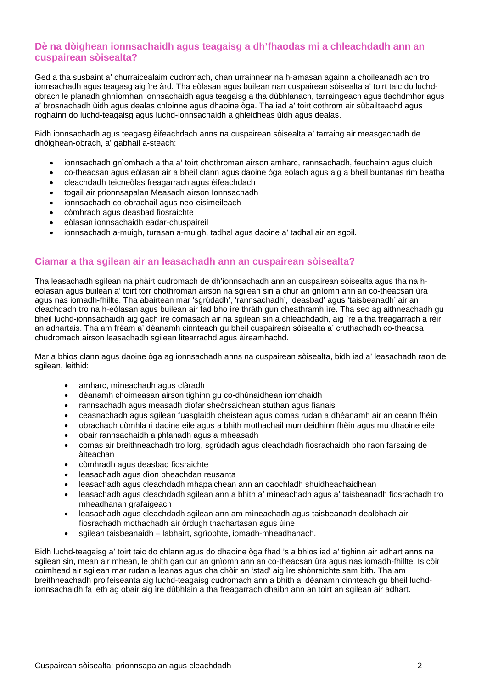# **Dè na dòighean ionnsachaidh agus teagaisg a dh'fhaodas mi a chleachdadh ann an cuspairean sòisealta?**

Ged a tha susbaint a' churraicealaim cudromach, chan urrainnear na h-amasan againn a choileanadh ach tro ionnsachadh agus teagasg aig ìre àrd. Tha eòlasan agus builean nan cuspairean sòisealta a' toirt taic do luchdobrach le planadh ghnìomhan ionnsachaidh agus teagaisg a tha dùbhlanach, tarraingeach agus tlachdmhor agus a' brosnachadh ùidh agus dealas chloinne agus dhaoine òga. Tha iad a' toirt cothrom air sùbailteachd agus roghainn do luchd-teagaisg agus luchd-ionnsachaidh a ghleidheas ùidh agus dealas.

Bidh ionnsachadh agus teagasg èifeachdach anns na cuspairean sòisealta a' tarraing air measgachadh de dhòighean-obrach, a' gabhail a-steach:

- ionnsachadh gnìomhach a tha a' toirt chothroman airson amharc, rannsachadh, feuchainn agus cluich
- co-theacsan agus eòlasan air a bheil clann agus daoine òga eòlach agus aig a bheil buntanas rim beatha
- cleachdadh teicneòlas freagarrach agus èifeachdach
- togail air prionnsapalan Measadh airson Ionnsachadh
- ionnsachadh co-obrachail agus neo-eisimeileach
- còmhradh agus deasbad fiosraichte
- eòlasan ionnsachaidh eadar-chuspaireil
- ionnsachadh a-muigh, turasan a-muigh, tadhal agus daoine a' tadhal air an sgoil.

## **Ciamar a tha sgilean air an leasachadh ann an cuspairean sòisealta?**

Tha leasachadh sgilean na phàirt cudromach de dh'ionnsachadh ann an cuspairean sòisealta agus tha na heòlasan agus builean a' toirt tòrr chothroman airson na sgilean sin a chur an gnìomh ann an co-theacsan ùra agus nas iomadh-fhillte. Tha abairtean mar 'sgrùdadh', 'rannsachadh', 'deasbad' agus 'taisbeanadh' air an cleachdadh tro na h-eòlasan agus builean air fad bho ìre thràth gun cheathramh ìre. Tha seo ag aithneachadh gu bheil luchd-ionnsachaidh aig gach ìre comasach air na sgilean sin a chleachdadh, aig ìre a tha freagarrach a rèir an adhartais. Tha am frèam a' dèanamh cinnteach gu bheil cuspairean sòisealta a' cruthachadh co-theacsa chudromach airson leasachadh sgilean litearrachd agus àireamhachd.

Mar a bhios clann agus daoine òga ag ionnsachadh anns na cuspairean sòisealta, bidh iad a' leasachadh raon de sgilean, leithid:

- amharc, mìneachadh agus clàradh
- dèanamh choimeasan airson tighinn gu co-dhùnaidhean iomchaidh
- rannsachadh agus measadh diofar sheòrsaichean stuthan agus fianais
- ceasnachadh agus sgilean fuasglaidh cheistean agus comas rudan a dhèanamh air an ceann fhèin
- obrachadh còmhla ri daoine eile agus a bhith mothachail mun deidhinn fhèin agus mu dhaoine eile
- obair rannsachaidh a phlanadh agus a mheasadh
- comas air breithneachadh tro lorg, sgrùdadh agus cleachdadh fiosrachaidh bho raon farsaing de àiteachan
- còmhradh agus deasbad fiosraichte
- leasachadh agus dìon bheachdan reusanta
- leasachadh agus cleachdadh mhapaichean ann an caochladh shuidheachaidhean
- leasachadh agus cleachdadh sgilean ann a bhith a' mìneachadh agus a' taisbeanadh fiosrachadh tro mheadhanan grafaigeach
- leasachadh agus cleachdadh sgilean ann am mìneachadh agus taisbeanadh dealbhach air fiosrachadh mothachadh air òrdugh thachartasan agus ùine
- sgilean taisbeanaidh labhairt, sgrìobhte, iomadh-mheadhanach.

Bidh luchd-teagaisg a' toirt taic do chlann agus do dhaoine òga fhad 's a bhios iad a' tighinn air adhart anns na sgilean sin, mean air mhean, le bhith gan cur an gnìomh ann an co-theacsan ùra agus nas iomadh-fhillte. Is còir coimhead air sgilean mar rudan a leanas agus cha chòir an 'stad' aig ìre shònraichte sam bith. Tha am breithneachadh proifeiseanta aig luchd-teagaisg cudromach ann a bhith a' dèanamh cinnteach gu bheil luchdionnsachaidh fa leth ag obair aig ìre dùbhlain a tha freagarrach dhaibh ann an toirt an sgilean air adhart.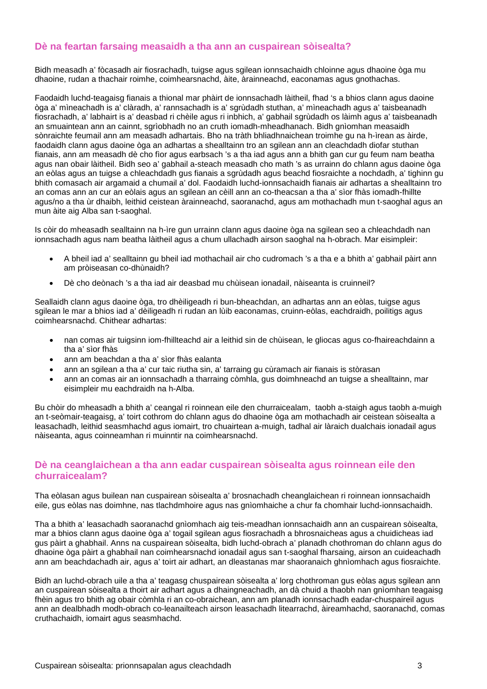## **Dè na feartan farsaing measaidh a tha ann an cuspairean sòisealta?**

Bidh measadh a' fòcasadh air fiosrachadh, tuigse agus sgilean ionnsachaidh chloinne agus dhaoine òga mu dhaoine, rudan a thachair roimhe, coimhearsnachd, àite, àrainneachd, eaconamas agus gnothachas.

Faodaidh luchd-teagaisg fianais a thional mar phàirt de ionnsachadh làitheil, fhad 's a bhios clann agus daoine òga a' mìneachadh is a' clàradh, a' rannsachadh is a' sgrùdadh stuthan, a' mìneachadh agus a' taisbeanadh fiosrachadh, a' labhairt is a' deasbad ri chèile agus ri inbhich, a' gabhail sgrùdadh os làimh agus a' taisbeanadh an smuaintean ann an cainnt, sgrìobhadh no an cruth iomadh-mheadhanach. Bidh gnìomhan measaidh sònraichte feumail ann am measadh adhartais. Bho na tràth bhliadhnaichean troimhe gu na h-ìrean as àirde, faodaidh clann agus daoine òga an adhartas a shealltainn tro an sgilean ann an cleachdadh diofar stuthan fianais, ann am measadh dè cho fìor agus earbsach 's a tha iad agus ann a bhith gan cur gu feum nam beatha agus nan obair làitheil. Bidh seo a' gabhail a-steach measadh cho math 's as urrainn do chlann agus daoine òga an eòlas agus an tuigse a chleachdadh gus fianais a sgrùdadh agus beachd fiosraichte a nochdadh, a' tighinn gu bhith comasach air argamaid a chumail a' dol. Faodaidh luchd-ionnsachaidh fianais air adhartas a shealltainn tro an comas ann an cur an eòlais agus an sgilean an cèill ann an co-theacsan a tha a' sìor fhàs iomadh-fhillte agus/no a tha ùr dhaibh, leithid ceistean àrainneachd, saoranachd, agus am mothachadh mun t-saoghal agus an mun àite aig Alba san t-saoghal.

Is còir do mheasadh sealltainn na h-ìre gun urrainn clann agus daoine òga na sgilean seo a chleachdadh nan ionnsachadh agus nam beatha làitheil agus a chum ullachadh airson saoghal na h-obrach. Mar eisimpleir:

- A bheil iad a' sealltainn gu bheil iad mothachail air cho cudromach 's a tha e a bhith a' gabhail pàirt ann am pròiseasan co-dhùnaidh?
- Dè cho deònach 's a tha iad air deasbad mu chùisean ionadail, nàiseanta is cruinneil?

Seallaidh clann agus daoine òga, tro dhèiligeadh ri bun-bheachdan, an adhartas ann an eòlas, tuigse agus sgilean le mar a bhios iad a' dèiligeadh ri rudan an lùib eaconamas, cruinn-eòlas, eachdraidh, poilitigs agus coimhearsnachd. Chithear adhartas:

- nan comas air tuigsinn iom-fhillteachd air a leithid sin de chùisean, le gliocas agus co-fhaireachdainn a tha a' sìor fhàs
- ann am beachdan a tha a' sìor fhàs ealanta
- ann an sgilean a tha a' cur taic riutha sin, a' tarraing gu cùramach air fianais is stòrasan
- ann an comas air an ionnsachadh a tharraing còmhla, gus doimhneachd an tuigse a shealltainn, mar eisimpleir mu eachdraidh na h-Alba.

Bu chòir do mheasadh a bhith a' ceangal ri roinnean eile den churraicealam, taobh a-staigh agus taobh a-muigh an t-seòmair-teagaisg, a' toirt cothrom do chlann agus do dhaoine òga am mothachadh air ceistean sòisealta a leasachadh, leithid seasmhachd agus iomairt, tro chuairtean a-muigh, tadhal air làraich dualchais ionadail agus nàiseanta, agus coinneamhan ri muinntir na coimhearsnachd.

## **Dè na ceanglaichean a tha ann eadar cuspairean sòisealta agus roinnean eile den churraicealam?**

Tha eòlasan agus builean nan cuspairean sòisealta a' brosnachadh cheanglaichean ri roinnean ionnsachaidh eile, gus eòlas nas doimhne, nas tlachdmhoire agus nas gnìomhaiche a chur fa chomhair luchd-ionnsachaidh.

Tha a bhith a' leasachadh saoranachd gnìomhach aig teis-meadhan ionnsachaidh ann an cuspairean sòisealta, mar a bhios clann agus daoine òga a' togail sgilean agus fiosrachadh a bhrosnaicheas agus a chuidicheas iad gus pàirt a ghabhail. Anns na cuspairean sòisealta, bidh luchd-obrach a' planadh chothroman do chlann agus do dhaoine òga pàirt a ghabhail nan coimhearsnachd ionadail agus san t-saoghal fharsaing, airson an cuideachadh ann am beachdachadh air, agus a' toirt air adhart, an dleastanas mar shaoranaich ghnìomhach agus fiosraichte.

Bidh an luchd-obrach uile a tha a' teagasg chuspairean sòisealta a' lorg chothroman gus eòlas agus sgilean ann an cuspairean sòisealta a thoirt air adhart agus a dhaingneachadh, an dà chuid a thaobh nan gnìomhan teagaisg fhèin agus tro bhith ag obair còmhla ri an co-obraichean, ann am planadh ionnsachadh eadar-chuspaireil agus ann an dealbhadh modh-obrach co-leanailteach airson leasachadh litearrachd, àireamhachd, saoranachd, comas cruthachaidh, iomairt agus seasmhachd.